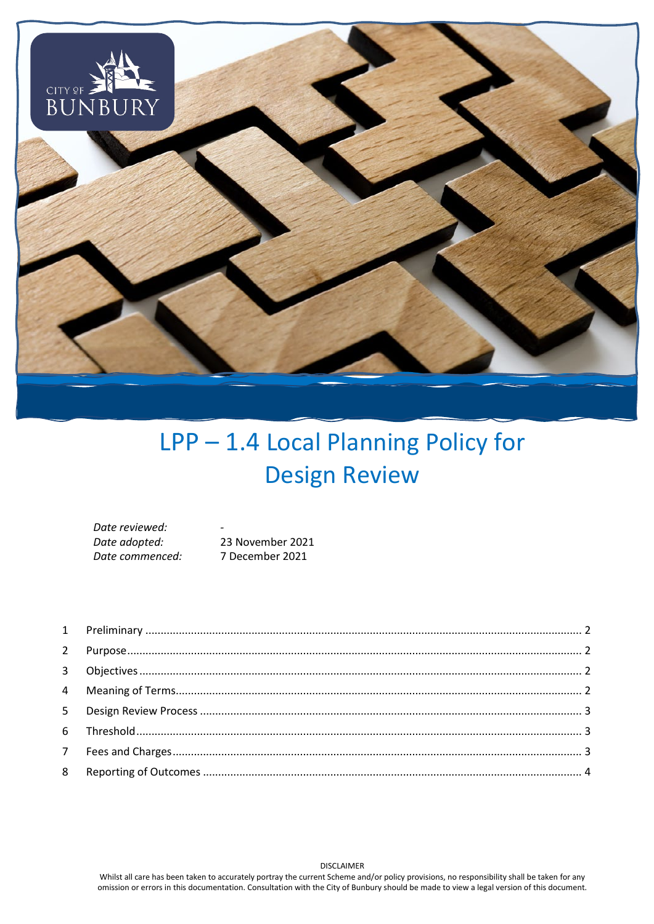

# LPP-1.4 Local Planning Policy for **Design Review**

| Date reviewed:  | -                |
|-----------------|------------------|
| Date adopted:   | 23 November 2021 |
| Date commenced: | 7 December 2021  |

**DISCLAIMER**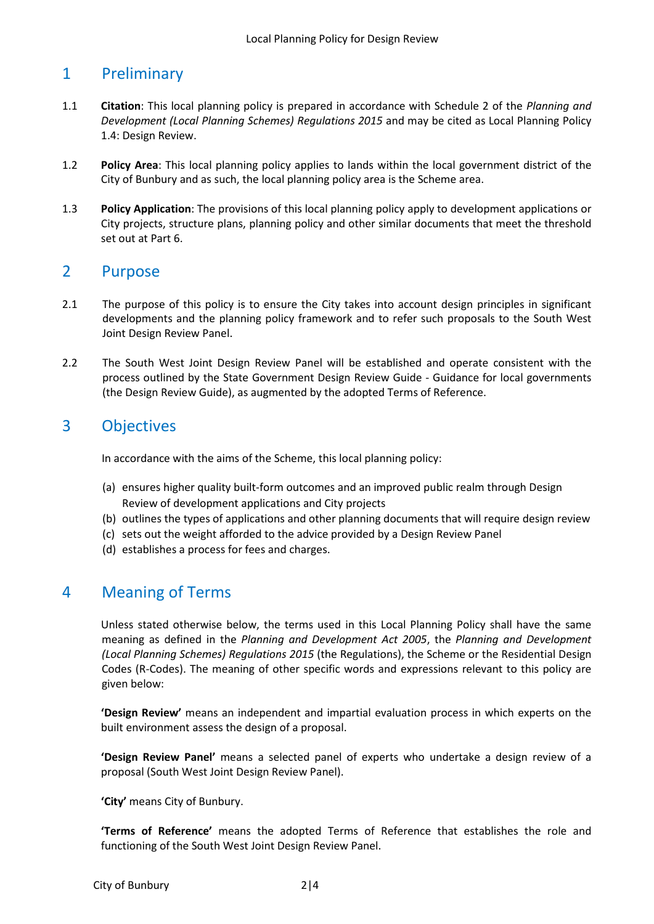# <span id="page-1-0"></span>1 Preliminary

- 1.1 **Citation**: This local planning policy is prepared in accordance with Schedule 2 of the *Planning and Development (Local Planning Schemes) Regulations 2015* and may be cited as Local Planning Policy 1.4: Design Review.
- 1.2 **Policy Area**: This local planning policy applies to lands within the local government district of the City of Bunbury and as such, the local planning policy area is the Scheme area.
- 1.3 **Policy Application**: The provisions of this local planning policy apply to development applications or City projects, structure plans, planning policy and other similar documents that meet the threshold set out at Part 6.

#### <span id="page-1-1"></span>2 Purpose

- 2.1 The purpose of this policy is to ensure the City takes into account design principles in significant developments and the planning policy framework and to refer such proposals to the South West Joint Design Review Panel.
- 2.2 The South West Joint Design Review Panel will be established and operate consistent with the process outlined by the State Government Design Review Guide - Guidance for local governments (the Design Review Guide), as augmented by the adopted Terms of Reference.

## <span id="page-1-2"></span>3 Objectives

In accordance with the aims of the Scheme, this local planning policy:

- (a) ensures higher quality built-form outcomes and an improved public realm through Design Review of development applications and City projects
- (b) outlines the types of applications and other planning documents that will require design review
- (c) sets out the weight afforded to the advice provided by a Design Review Panel
- (d) establishes a process for fees and charges.

#### <span id="page-1-3"></span>4 Meaning of Terms

Unless stated otherwise below, the terms used in this Local Planning Policy shall have the same meaning as defined in the *Planning and Development Act 2005*, the *Planning and Development (Local Planning Schemes) Regulations 2015* (the Regulations), the Scheme or the Residential Design Codes (R-Codes). The meaning of other specific words and expressions relevant to this policy are given below:

**'Design Review'** means an independent and impartial evaluation process in which experts on the built environment assess the design of a proposal.

**'Design Review Panel'** means a selected panel of experts who undertake a design review of a proposal (South West Joint Design Review Panel).

**'City'** means City of Bunbury.

**'Terms of Reference'** means the adopted Terms of Reference that establishes the role and functioning of the South West Joint Design Review Panel.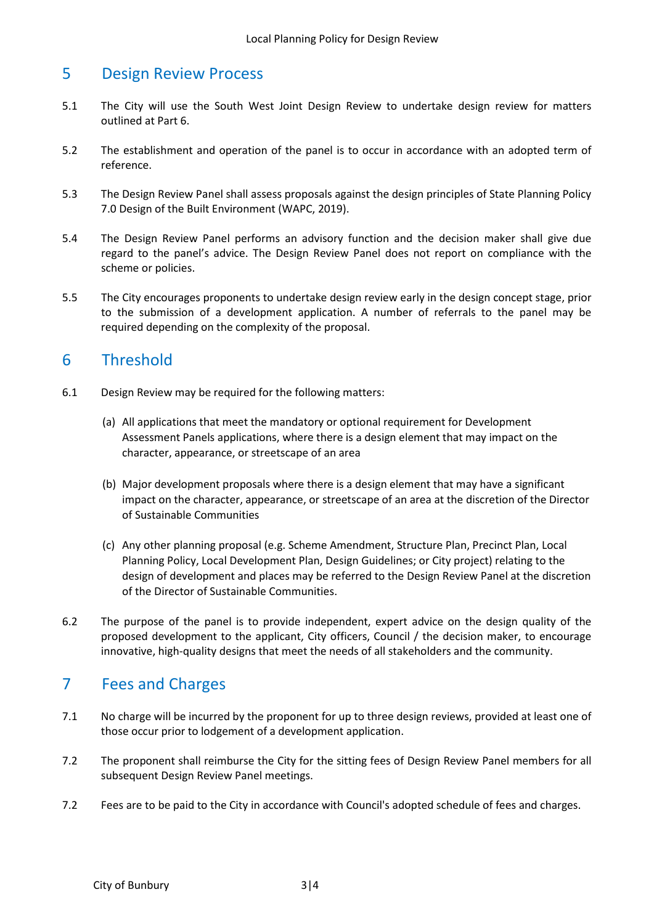#### <span id="page-2-0"></span>5 Design Review Process

- 5.1 The City will use the South West Joint Design Review to undertake design review for matters outlined at Part 6.
- 5.2 The establishment and operation of the panel is to occur in accordance with an adopted term of reference.
- 5.3 The Design Review Panel shall assess proposals against the design principles of State Planning Policy 7.0 Design of the Built Environment (WAPC, 2019).
- 5.4 The Design Review Panel performs an advisory function and the decision maker shall give due regard to the panel's advice. The Design Review Panel does not report on compliance with the scheme or policies.
- 5.5 The City encourages proponents to undertake design review early in the design concept stage, prior to the submission of a development application. A number of referrals to the panel may be required depending on the complexity of the proposal.

## <span id="page-2-1"></span>6 Threshold

- 6.1 Design Review may be required for the following matters:
	- (a) All applications that meet the mandatory or optional requirement for Development Assessment Panels applications, where there is a design element that may impact on the character, appearance, or streetscape of an area
	- (b) Major development proposals where there is a design element that may have a significant impact on the character, appearance, or streetscape of an area at the discretion of the Director of Sustainable Communities
	- (c) Any other planning proposal (e.g. Scheme Amendment, Structure Plan, Precinct Plan, Local Planning Policy, Local Development Plan, Design Guidelines; or City project) relating to the design of development and places may be referred to the Design Review Panel at the discretion of the Director of Sustainable Communities.
- 6.2 The purpose of the panel is to provide independent, expert advice on the design quality of the proposed development to the applicant, City officers, Council / the decision maker, to encourage innovative, high-quality designs that meet the needs of all stakeholders and the community.

# <span id="page-2-2"></span>7 Fees and Charges

- 7.1 No charge will be incurred by the proponent for up to three design reviews, provided at least one of those occur prior to lodgement of a development application.
- 7.2 The proponent shall reimburse the City for the sitting fees of Design Review Panel members for all subsequent Design Review Panel meetings.
- 7.2 Fees are to be paid to the City in accordance with Council's adopted schedule of fees and charges.